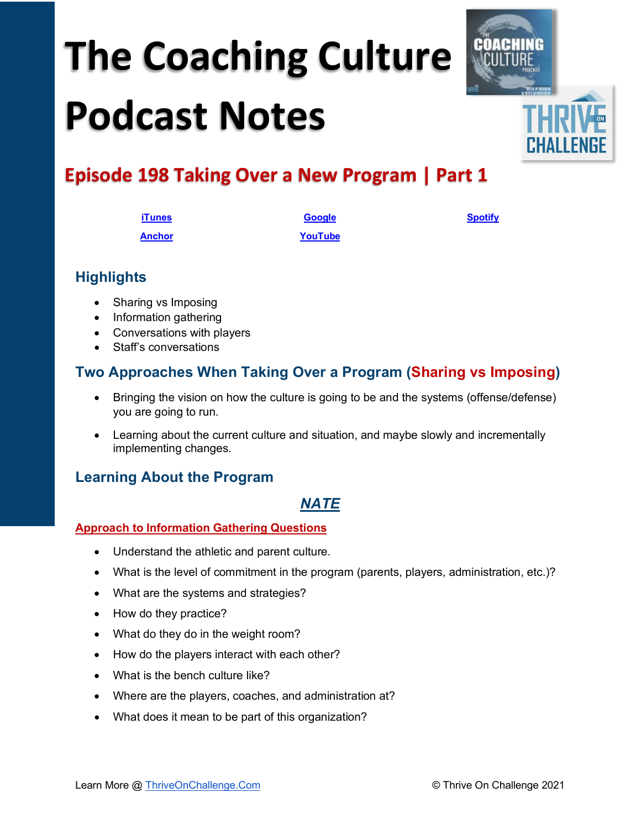# **The Coaching Culture Podcast Notes**



## **Episode 198 Taking Over a New Program | Part 1**

| <b>iTunes</b> | <b>Google</b> | <b>Spotify</b> |
|---------------|---------------|----------------|
| <b>Anchor</b> | YouTube       |                |

## **Highlights**

- Sharing vs Imposing
- Information gathering
- Conversations with players
- Staff's conversations

## **Two Approaches When Taking Over a Program (Sharing vs Imposing)**

- Bringing the vision on how the culture is going to be and the systems (offense/defense) you are going to run.
- Learning about the current culture and situation, and maybe slowly and incrementally implementing changes.

## **Learning About the Program**

## *NATE*

#### **Approach to Information Gathering Questions**

- Understand the athletic and parent culture.
- What is the level of commitment in the program (parents, players, administration, etc.)?
- What are the systems and strategies?
- How do they practice?
- What do they do in the weight room?
- How do the players interact with each other?
- What is the bench culture like?
- Where are the players, coaches, and administration at?
- What does it mean to be part of this organization?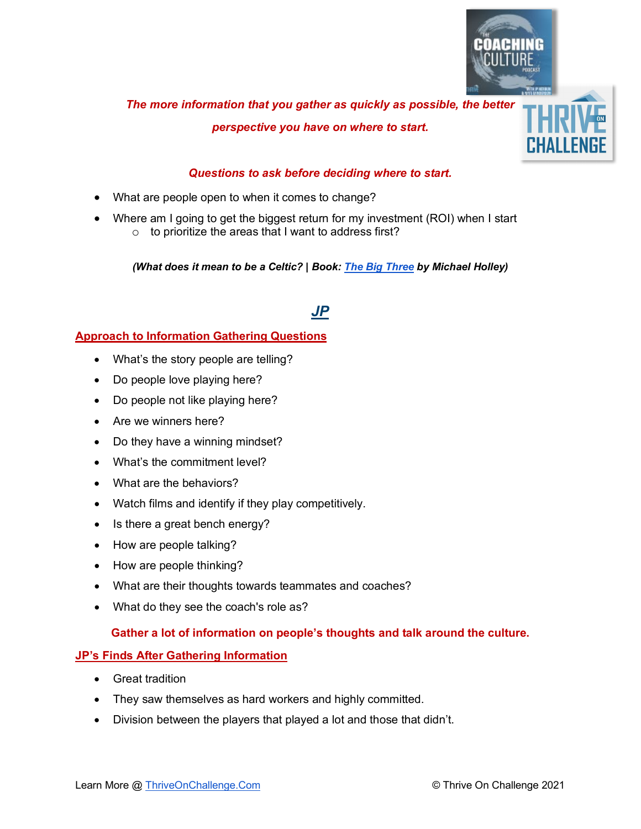

## *The more information that you gather as quickly as possible, the better perspective you have on where to start.*

#### *Questions to ask before deciding where to start.*

- What are people open to when it comes to change?
- Where am I going to get the biggest return for my investment (ROI) when I start o to prioritize the areas that I want to address first?

*(What does it mean to be a Celtic? | Book: [The Big Three](https://www.amazon.com/Truth-Michael-Holley/dp/0316489948/ref=sr_1_1?dchild=1&keywords=the+big+three&qid=1624682090&sr=8-1) by Michael Holley)*

## *JP*

#### **Approach to Information Gathering Questions**

- What's the story people are telling?
- Do people love playing here?
- Do people not like playing here?
- Are we winners here?
- Do they have a winning mindset?
- What's the commitment level?
- What are the behaviors?
- Watch films and identify if they play competitively.
- Is there a great bench energy?
- How are people talking?
- How are people thinking?
- What are their thoughts towards teammates and coaches?
- What do they see the coach's role as?

#### **Gather a lot of information on people's thoughts and talk around the culture.**

#### **JP's Finds After Gathering Information**

- Great tradition
- They saw themselves as hard workers and highly committed.
- Division between the players that played a lot and those that didn't.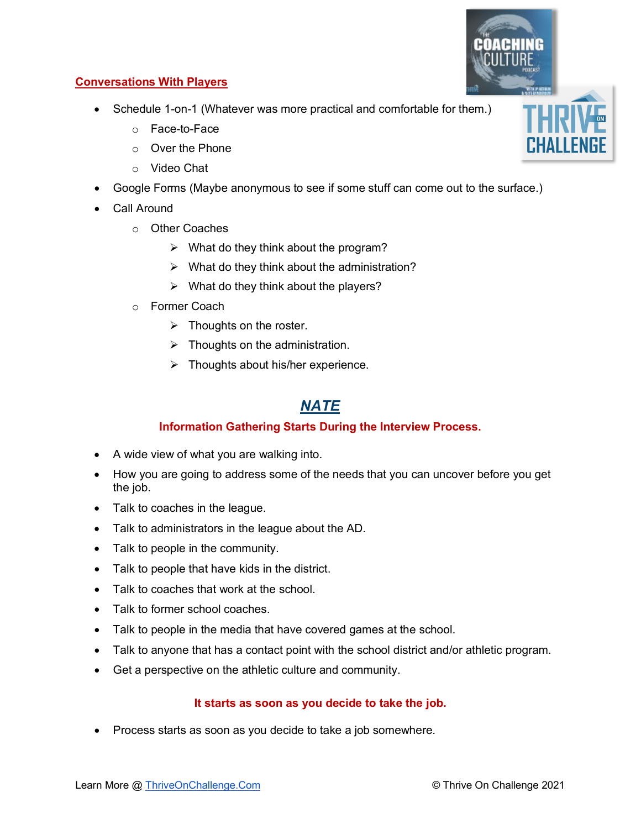#### **Conversations With Players**

- Schedule 1-on-1 (Whatever was more practical and comfortable for them.)
	- o Face-to-Face
	- o Over the Phone
	- o Video Chat
- Google Forms (Maybe anonymous to see if some stuff can come out to the surface.)
- Call Around
	- o Other Coaches
		- $\triangleright$  What do they think about the program?
		- $\triangleright$  What do they think about the administration?
		- $\triangleright$  What do they think about the players?
	- o Former Coach
		- $\triangleright$  Thoughts on the roster.
		- $\triangleright$  Thoughts on the administration.
		- $\triangleright$  Thoughts about his/her experience.

## *NATE*

#### **Information Gathering Starts During the Interview Process.**

- A wide view of what you are walking into.
- How you are going to address some of the needs that you can uncover before you get the job.
- Talk to coaches in the league.
- Talk to administrators in the league about the AD.
- Talk to people in the community.
- Talk to people that have kids in the district.
- Talk to coaches that work at the school.
- Talk to former school coaches.
- Talk to people in the media that have covered games at the school.
- Talk to anyone that has a contact point with the school district and/or athletic program.
- Get a perspective on the athletic culture and community.

#### **It starts as soon as you decide to take the job.**

• Process starts as soon as you decide to take a job somewhere.



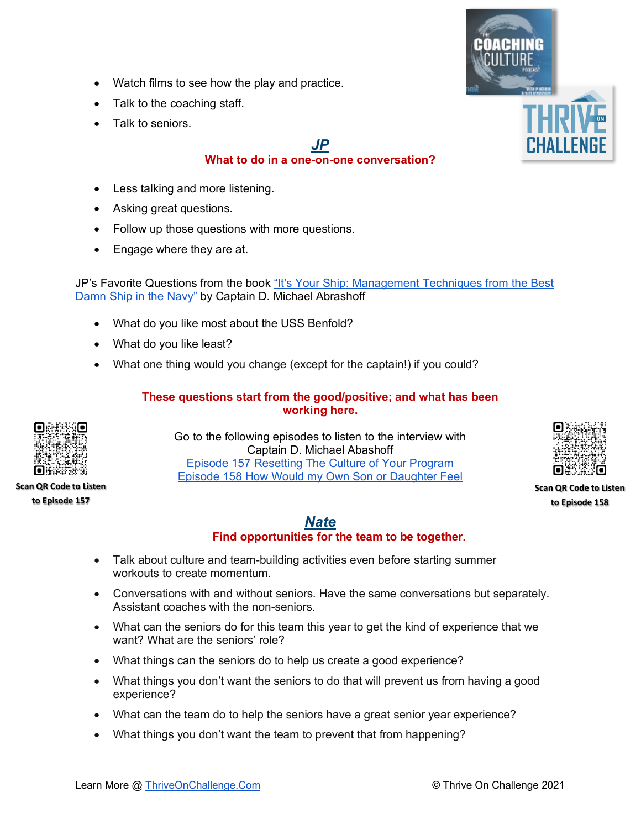- Watch films to see how the play and practice.
- Talk to the coaching staff.
- Talk to seniors.

## *JP*

#### **What to do in a one-on-one conversation?**

- Less talking and more listening.
- Asking great questions.
- Follow up those questions with more questions.
- Engage where they are at.

JP's Favorite Questions from the book ["It's Your Ship: Management Techniques from the Best](https://www.amazon.com/Its-Your-Ship-Management-Anniversary/dp/145552302X/ref=sr_1_1?crid=2RRWV3T0GIOPF&dchild=1&keywords=it%27s+your+ship+by+michael+abrashoff&qid=1624725621&s=books&sprefix=it%27s+your+sh%2Cstripbooks%2C199&sr=1-1)  [Damn Ship in the Navy"](https://www.amazon.com/Its-Your-Ship-Management-Anniversary/dp/145552302X/ref=sr_1_1?crid=2RRWV3T0GIOPF&dchild=1&keywords=it%27s+your+ship+by+michael+abrashoff&qid=1624725621&s=books&sprefix=it%27s+your+sh%2Cstripbooks%2C199&sr=1-1) by Captain D. Michael Abrashoff

- What do you like most about the USS Benfold?
- What do you like least?
- What one thing would you change (except for the captain!) if you could?

#### **These questions start from the good/positive; and what has been working here.**



**Scan QR Code to Listen to Episode 157**

Go to the following episodes to listen to the interview with Captain D. Michael Abashoff [Episode 157 Resetting The Culture of Your Program](https://youtu.be/NlUKafH8uc4) [Episode 158 How Would my Own Son or Daughter Feel](https://youtu.be/fQJ5w3uGwEU)



**Scan QR Code to Listen to Episode 158**

#### *Nate* **Find opportunities for the team to be together.**

- Talk about culture and team-building activities even before starting summer workouts to create momentum.
- Conversations with and without seniors. Have the same conversations but separately. Assistant coaches with the non-seniors.
- What can the seniors do for this team this year to get the kind of experience that we want? What are the seniors' role?
- What things can the seniors do to help us create a good experience?
- What things you don't want the seniors to do that will prevent us from having a good experience?
- What can the team do to help the seniors have a great senior year experience?
- What things you don't want the team to prevent that from happening?

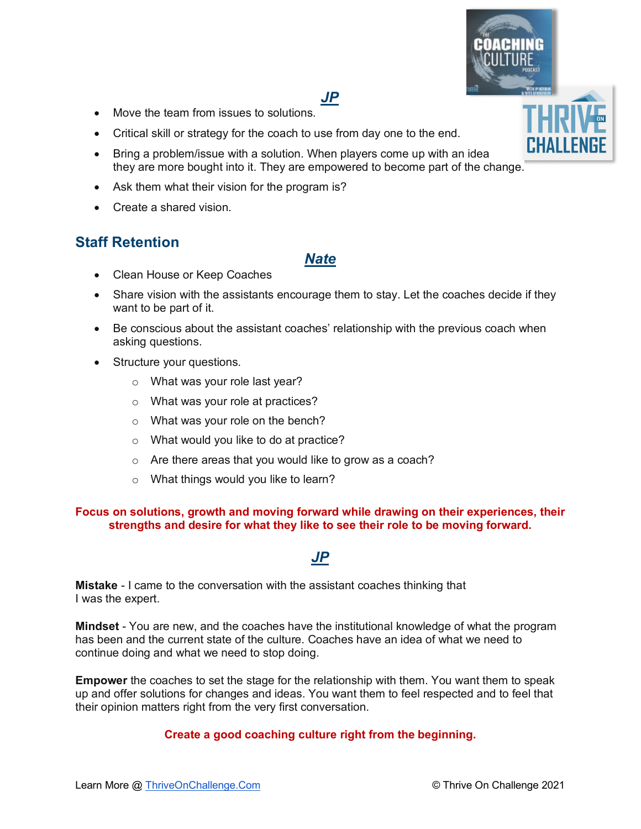

## *JP*

- Move the team from issues to solutions.
- Critical skill or strategy for the coach to use from day one to the end.
- Bring a problem/issue with a solution. When players come up with an idea they are more bought into it. They are empowered to become part of the change.
- Ask them what their vision for the program is?
- Create a shared vision.

## **Staff Retention**

#### *Nate*

- Clean House or Keep Coaches
- Share vision with the assistants encourage them to stay. Let the coaches decide if they want to be part of it.
- Be conscious about the assistant coaches' relationship with the previous coach when asking questions.
- Structure your questions.
	- o What was your role last year?
	- o What was your role at practices?
	- o What was your role on the bench?
	- o What would you like to do at practice?
	- o Are there areas that you would like to grow as a coach?
	- o What things would you like to learn?

#### **Focus on solutions, growth and moving forward while drawing on their experiences, their strengths and desire for what they like to see their role to be moving forward.**

## *JP*

**Mistake** - I came to the conversation with the assistant coaches thinking that I was the expert.

**Mindset** - You are new, and the coaches have the institutional knowledge of what the program has been and the current state of the culture. Coaches have an idea of what we need to continue doing and what we need to stop doing.

**Empower** the coaches to set the stage for the relationship with them. You want them to speak up and offer solutions for changes and ideas. You want them to feel respected and to feel that their opinion matters right from the very first conversation.

#### **Create a good coaching culture right from the beginning.**